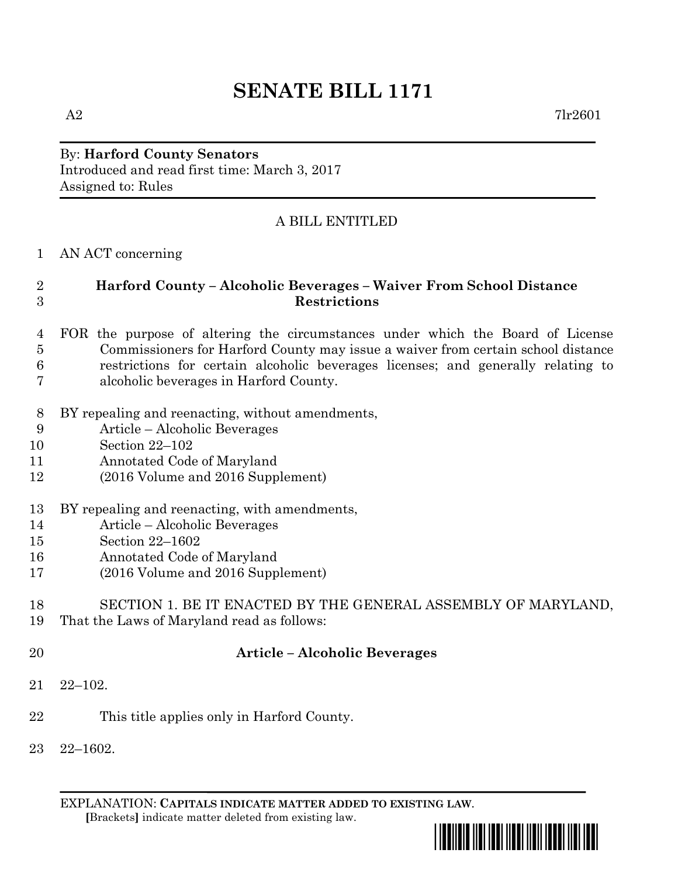## **SENATE BILL 1171**

### By: **Harford County Senators** Introduced and read first time: March 3, 2017 Assigned to: Rules

### A BILL ENTITLED

AN ACT concerning

### **Harford County – Alcoholic Beverages – Waiver From School Distance Restrictions**

- FOR the purpose of altering the circumstances under which the Board of License Commissioners for Harford County may issue a waiver from certain school distance restrictions for certain alcoholic beverages licenses; and generally relating to alcoholic beverages in Harford County.
- BY repealing and reenacting, without amendments,
- Article Alcoholic Beverages
- Section 22–102
- Annotated Code of Maryland
- (2016 Volume and 2016 Supplement)
- BY repealing and reenacting, with amendments,
- Article Alcoholic Beverages
- Section 22–1602
- Annotated Code of Maryland
- (2016 Volume and 2016 Supplement)

# SECTION 1. BE IT ENACTED BY THE GENERAL ASSEMBLY OF MARYLAND,

- That the Laws of Maryland read as follows:
- 

### **Article – Alcoholic Beverages**

- 22–102.
- This title applies only in Harford County.
- 22–1602.

EXPLANATION: **CAPITALS INDICATE MATTER ADDED TO EXISTING LAW**.  **[**Brackets**]** indicate matter deleted from existing law.

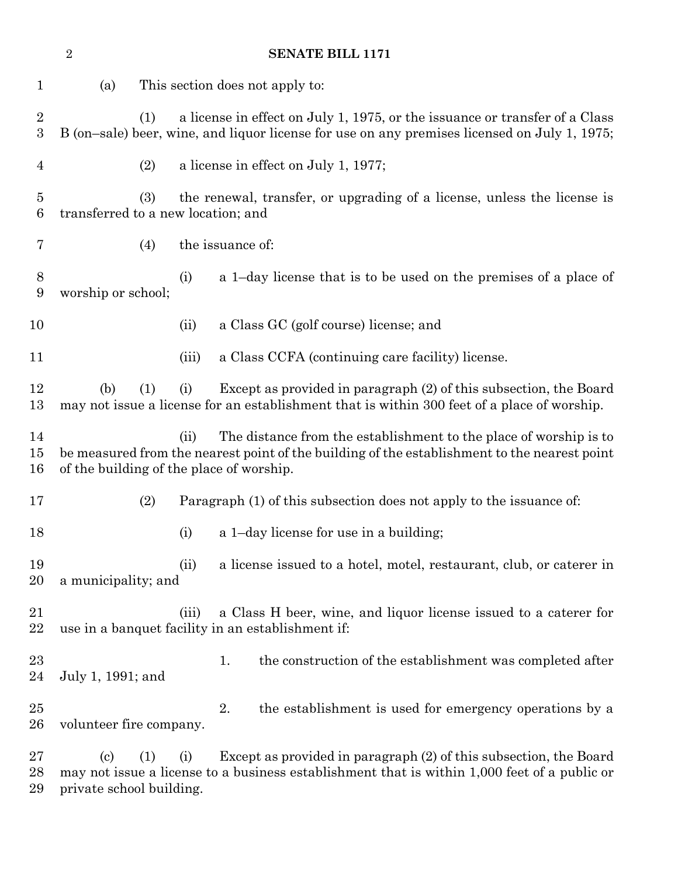|                                    | $\overline{2}$                                                                                                                                                                                                        |                                 |                                                                                                               |    | <b>SENATE BILL 1171</b>                                                                                                                                          |  |
|------------------------------------|-----------------------------------------------------------------------------------------------------------------------------------------------------------------------------------------------------------------------|---------------------------------|---------------------------------------------------------------------------------------------------------------|----|------------------------------------------------------------------------------------------------------------------------------------------------------------------|--|
| $\mathbf 1$                        | (a)                                                                                                                                                                                                                   | This section does not apply to: |                                                                                                               |    |                                                                                                                                                                  |  |
| $\overline{2}$<br>$\boldsymbol{3}$ | a license in effect on July 1, 1975, or the issuance or transfer of a Class<br>(1)<br>B (on-sale) beer, wine, and liquor license for use on any premises licensed on July 1, 1975;                                    |                                 |                                                                                                               |    |                                                                                                                                                                  |  |
| 4                                  |                                                                                                                                                                                                                       | (2)                             |                                                                                                               |    | a license in effect on July 1, 1977;                                                                                                                             |  |
| $\bf 5$<br>6                       |                                                                                                                                                                                                                       | (3)                             | the renewal, transfer, or upgrading of a license, unless the license is<br>transferred to a new location; and |    |                                                                                                                                                                  |  |
| 7                                  |                                                                                                                                                                                                                       | (4)                             | the issuance of:                                                                                              |    |                                                                                                                                                                  |  |
| 8<br>9                             | worship or school;                                                                                                                                                                                                    |                                 | (i)                                                                                                           |    | a 1-day license that is to be used on the premises of a place of                                                                                                 |  |
| 10                                 |                                                                                                                                                                                                                       |                                 | (ii)                                                                                                          |    | a Class GC (golf course) license; and                                                                                                                            |  |
| 11                                 |                                                                                                                                                                                                                       |                                 | (iii)                                                                                                         |    | a Class CCFA (continuing care facility) license.                                                                                                                 |  |
| 12<br>13                           | (b)                                                                                                                                                                                                                   | (1)                             | (i)                                                                                                           |    | Except as provided in paragraph (2) of this subsection, the Board<br>may not issue a license for an establishment that is within 300 feet of a place of worship. |  |
| 14<br>$15\,$<br>16                 | The distance from the establishment to the place of worship is to<br>(ii)<br>be measured from the nearest point of the building of the establishment to the nearest point<br>of the building of the place of worship. |                                 |                                                                                                               |    |                                                                                                                                                                  |  |
| 17                                 |                                                                                                                                                                                                                       | (2)                             | Paragraph (1) of this subsection does not apply to the issuance of:                                           |    |                                                                                                                                                                  |  |
| 18                                 |                                                                                                                                                                                                                       |                                 | (i)                                                                                                           |    | a 1-day license for use in a building;                                                                                                                           |  |
| 19<br>20                           | a municipality; and                                                                                                                                                                                                   |                                 | (ii)                                                                                                          |    | a license issued to a hotel, motel, restaurant, club, or caterer in                                                                                              |  |
| 21<br>22                           | a Class H beer, wine, and liquor license issued to a caterer for<br>(iii)<br>use in a banquet facility in an establishment if:                                                                                        |                                 |                                                                                                               |    |                                                                                                                                                                  |  |
| 23<br>24                           | July 1, 1991; and                                                                                                                                                                                                     |                                 |                                                                                                               | 1. | the construction of the establishment was completed after                                                                                                        |  |
| 25<br>$26\,$                       | volunteer fire company.                                                                                                                                                                                               |                                 |                                                                                                               | 2. | the establishment is used for emergency operations by a                                                                                                          |  |
| $27\,$<br>28<br>29                 | Except as provided in paragraph (2) of this subsection, the Board<br>(1)<br>(i)<br>(c)<br>may not issue a license to a business establishment that is within 1,000 feet of a public or<br>private school building.    |                                 |                                                                                                               |    |                                                                                                                                                                  |  |